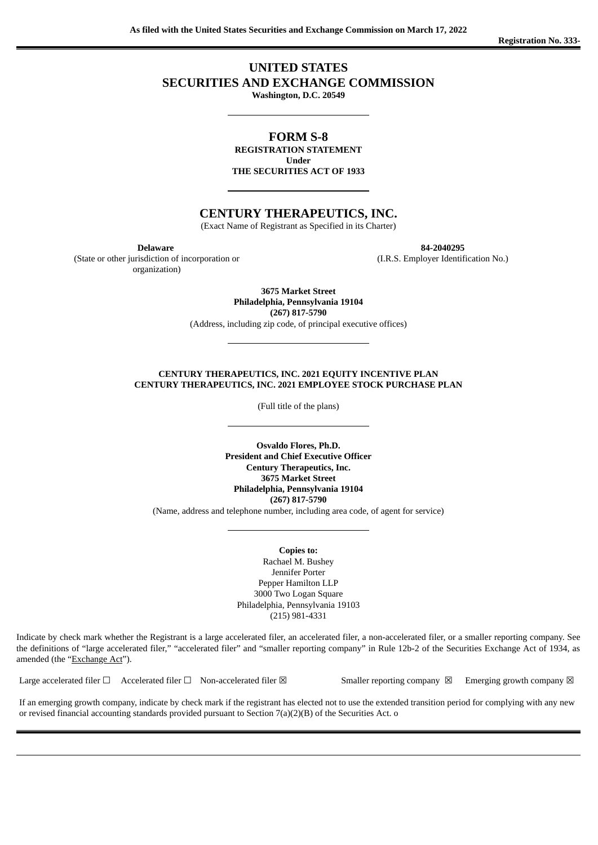# **UNITED STATES**

**SECURITIES AND EXCHANGE COMMISSION**

**Washington, D.C. 20549**

**FORM S-8 REGISTRATION STATEMENT**

**Under THE SECURITIES ACT OF 1933**

# **CENTURY THERAPEUTICS, INC.**

(Exact Name of Registrant as Specified in its Charter)

(State or other jurisdiction of incorporation or organization)

**Delaware 84-2040295**

(I.R.S. Employer Identification No.)

**3675 Market Street Philadelphia, Pennsylvania 19104 (267) 817-5790**

(Address, including zip code, of principal executive offices)

#### **CENTURY THERAPEUTICS, INC. 2021 EQUITY INCENTIVE PLAN CENTURY THERAPEUTICS, INC. 2021 EMPLOYEE STOCK PURCHASE PLAN**

(Full title of the plans)

**Osvaldo Flores, Ph.D. President and Chief Executive Officer Century Therapeutics, Inc. 3675 Market Street Philadelphia, Pennsylvania 19104 (267) 817-5790**

(Name, address and telephone number, including area code, of agent for service)

**Copies to:** Rachael M. Bushey Jennifer Porter Pepper Hamilton LLP 3000 Two Logan Square Philadelphia, Pennsylvania 19103 (215) 981-4331

Indicate by check mark whether the Registrant is a large accelerated filer, an accelerated filer, a non-accelerated filer, or a smaller reporting company. See the definitions of "large accelerated filer," "accelerated filer" and "smaller reporting company" in Rule 12b-2 of the Securities Exchange Act of 1934, as amended (the "Exchange Act").

Large accelerated filer  $\Box$  Accelerated filer  $\Box$  Non-accelerated filer  $\boxtimes$  Smaller reporting company  $\boxtimes$  Emerging growth company  $\boxtimes$ 

If an emerging growth company, indicate by check mark if the registrant has elected not to use the extended transition period for complying with any new or revised financial accounting standards provided pursuant to Section 7(a)(2)(B) of the Securities Act. o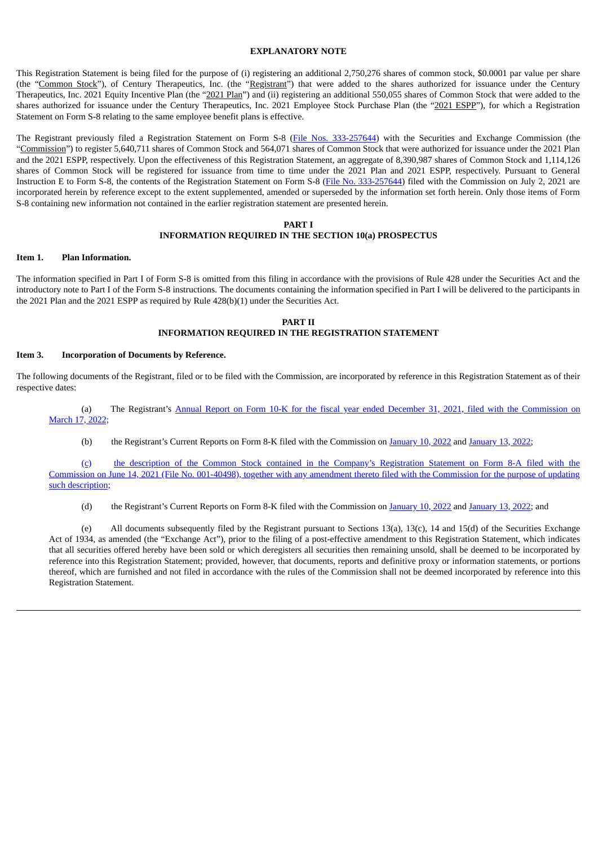# **EXPLANATORY NOTE**

This Registration Statement is being filed for the purpose of (i) registering an additional 2,750,276 shares of common stock, \$0.0001 par value per share (the "Common Stock"), of Century Therapeutics, Inc. (the "Registrant") that were added to the shares authorized for issuance under the Century Therapeutics, Inc. 2021 Equity Incentive Plan (the "2021 Plan") and (ii) registering an additional 550,055 shares of Common Stock that were added to the shares authorized for issuance under the Century Therapeutics, Inc. 2021 Employee Stock Purchase Plan (the "2021 ESPP"), for which a Registration Statement on Form S-8 relating to the same employee benefit plans is effective.

The Registrant previously filed a Registration Statement on Form S-8 (File Nos. [333-257644\)](https://www.sec.gov/Archives/edgar/data/1850119/000110465921088864/tm2121116d1_s8.htm) with the Securities and Exchange Commission (the "Commission") to register 5,640,711 shares of Common Stock and 564,071 shares of Common Stock that were authorized for issuance under the 2021 Plan and the 2021 ESPP, respectively. Upon the effectiveness of this Registration Statement, an aggregate of 8,390,987 shares of Common Stock and 1,114,126 shares of Common Stock will be registered for issuance from time to time under the 2021 Plan and 2021 ESPP, respectively. Pursuant to General Instruction E to Form S-8, the contents of the Registration Statement on Form S-8 (File No. [333-257644](https://www.sec.gov/Archives/edgar/data/1850119/000110465921088864/tm2121116d1_s8.htm)) filed with the Commission on July 2, 2021 are incorporated herein by reference except to the extent supplemented, amended or superseded by the information set forth herein. Only those items of Form S-8 containing new information not contained in the earlier registration statement are presented herein.

### **PART I INFORMATION REQUIRED IN THE SECTION 10(a) PROSPECTUS**

# **Item 1. Plan Information.**

The information specified in Part I of Form S-8 is omitted from this filing in accordance with the provisions of Rule 428 under the Securities Act and the introductory note to Part I of the Form S-8 instructions. The documents containing the information specified in Part I will be delivered to the participants in the 2021 Plan and the 2021 ESPP as required by Rule 428(b)(1) under the Securities Act.

# **PART II INFORMATION REQUIRED IN THE REGISTRATION STATEMENT**

### **Item 3. Incorporation of Documents by Reference.**

The following documents of the Registrant, filed or to be filed with the Commission, are incorporated by reference in this Registration Statement as of their respective dates:

(a) The Registrant's Annual Report on Form 10-K for the fiscal year ended December 31, 2021, filed with the [Commission](https://www.sec.gov/ix?doc=/Archives/edgar/data/0001850119/000155837022003867/ipsc-20211231x10k.htm) on March 17, 2022;

(b) the Registrant's Current Reports on Form 8-K filed with the Commission on [January](https://www.sec.gov/ix?doc=/Archives/edgar/data/1850119/000110465922003803/tm222671d1_8k.htm) 10, 2022 and January 13, 2022;

[\(c\)](https://www.sec.gov/Archives/edgar/data/1850119/000110465921080760/tm218551d12_8a12b.htm) the description of the Common Stock contained in the Company's Registration Statement on Form 8-A filed with the Commission on June 14, 2021 (File No. 001-40498), together with any amendment thereto filed with the [Commission](https://www.sec.gov/Archives/edgar/data/1850119/000110465921080760/tm218551d12_8a12b.htm) for the purpose of updating such description;

(d) the Registrant's Current Reports on Form 8-K filed with the Commission on [January](https://www.sec.gov/ix?doc=/Archives/edgar/data/1850119/000110465922003803/tm222671d1_8k.htm) 10, 2022 and January 13, 2022; and

(e) All documents subsequently filed by the Registrant pursuant to Sections 13(a), 13(c), 14 and 15(d) of the Securities Exchange Act of 1934, as amended (the "Exchange Act"), prior to the filing of a post-effective amendment to this Registration Statement, which indicates that all securities offered hereby have been sold or which deregisters all securities then remaining unsold, shall be deemed to be incorporated by reference into this Registration Statement; provided, however, that documents, reports and definitive proxy or information statements, or portions thereof, which are furnished and not filed in accordance with the rules of the Commission shall not be deemed incorporated by reference into this Registration Statement.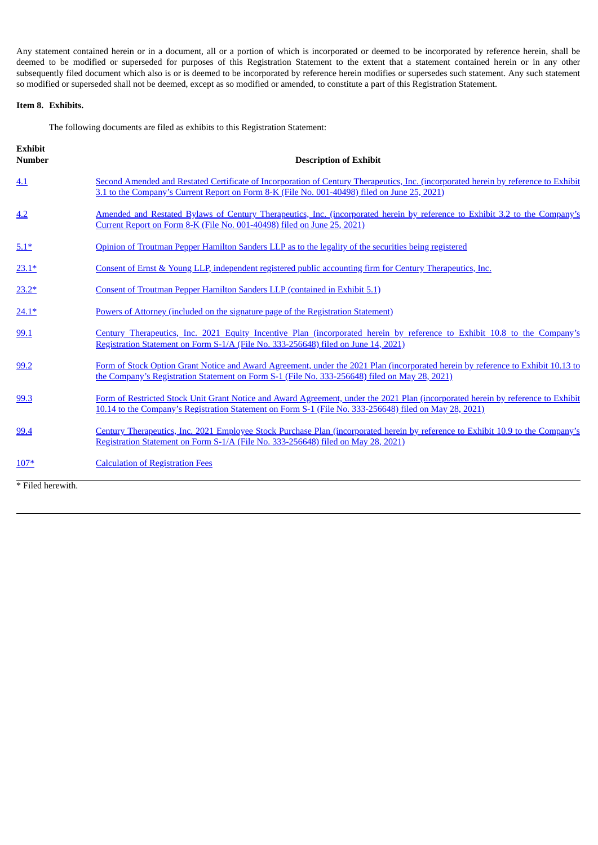Any statement contained herein or in a document, all or a portion of which is incorporated or deemed to be incorporated by reference herein, shall be deemed to be modified or superseded for purposes of this Registration Statement to the extent that a statement contained herein or in any other subsequently filed document which also is or is deemed to be incorporated by reference herein modifies or supersedes such statement. Any such statement so modified or superseded shall not be deemed, except as so modified or amended, to constitute a part of this Registration Statement.

# **Item 8. Exhibits.**

The following documents are filed as exhibits to this Registration Statement:

| <b>Exhibit</b><br><b>Number</b> | <b>Description of Exhibit</b>                                                                                                                                                                                                              |
|---------------------------------|--------------------------------------------------------------------------------------------------------------------------------------------------------------------------------------------------------------------------------------------|
| 4.1                             | Second Amended and Restated Certificate of Incorporation of Century Therapeutics, Inc. (incorporated herein by reference to Exhibit<br>3.1 to the Company's Current Report on Form 8-K (File No. 001-40498) filed on June 25, 2021)        |
| 4.2                             | Amended and Restated Bylaws of Century Therapeutics, Inc. (incorporated herein by reference to Exhibit 3.2 to the Company's<br>Current Report on Form 8-K (File No. 001-40498) filed on June 25, 2021)                                     |
| $5.1*$                          | Opinion of Troutman Pepper Hamilton Sanders LLP as to the legality of the securities being registered                                                                                                                                      |
| $23.1*$                         | Consent of Ernst & Young LLP, independent registered public accounting firm for Century Therapeutics, Inc.                                                                                                                                 |
| $23.2*$                         | Consent of Troutman Pepper Hamilton Sanders LLP (contained in Exhibit 5.1)                                                                                                                                                                 |
| $24.1*$                         | Powers of Attorney (included on the signature page of the Registration Statement)                                                                                                                                                          |
| 99.1                            | Century Therapeutics, Inc. 2021 Equity Incentive Plan (incorporated herein by reference to Exhibit 10.8 to the Company's<br>Registration Statement on Form S-1/A (File No. 333-256648) filed on June 14, 2021).                            |
| 99.2                            | Form of Stock Option Grant Notice and Award Agreement, under the 2021 Plan (incorporated herein by reference to Exhibit 10.13 to<br>the Company's Registration Statement on Form S-1 (File No. 333-256648) filed on May 28, 2021)          |
| 99.3                            | Form of Restricted Stock Unit Grant Notice and Award Agreement, under the 2021 Plan (incorporated herein by reference to Exhibit<br>10.14 to the Company's Registration Statement on Form S-1 (File No. 333-256648) filed on May 28, 2021) |
| 99.4                            | Century Therapeutics, Inc. 2021 Employee Stock Purchase Plan (incorporated herein by reference to Exhibit 10.9 to the Company's<br>Registration Statement on Form S-1/A (File No. 333-256648) filed on May 28, 2021)                       |
| $107*$                          | <b>Calculation of Registration Fees</b>                                                                                                                                                                                                    |
| * Filed herewith.               |                                                                                                                                                                                                                                            |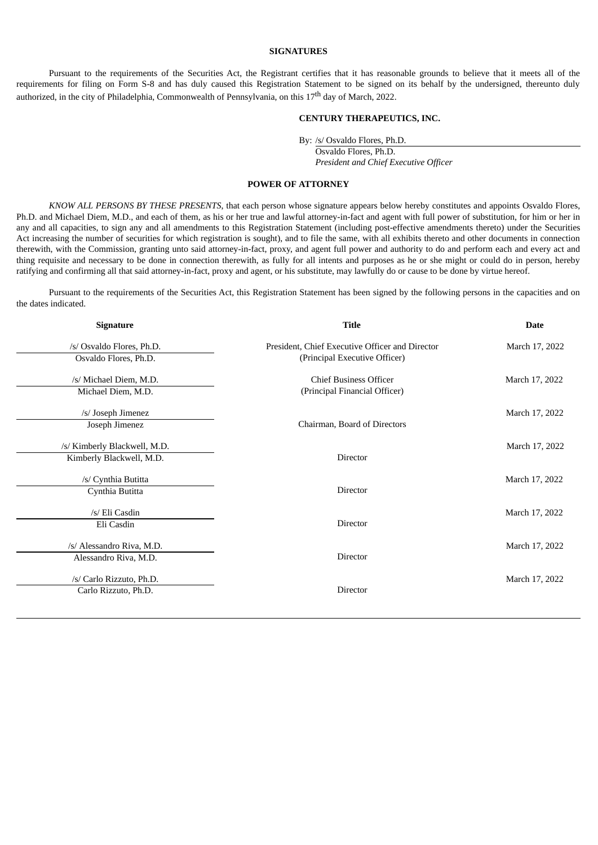# **SIGNATURES**

<span id="page-3-0"></span>Pursuant to the requirements of the Securities Act, the Registrant certifies that it has reasonable grounds to believe that it meets all of the requirements for filing on Form S-8 and has duly caused this Registration Statement to be signed on its behalf by the undersigned, thereunto duly authorized, in the city of Philadelphia, Commonwealth of Pennsylvania, on this 17<sup>th</sup> day of March, 2022.

### **CENTURY THERAPEUTICS, INC.**

By: /s/ Osvaldo Flores, Ph.D.

Osvaldo Flores, Ph.D. *President and Chief Executive Officer*

## **POWER OF ATTORNEY**

*KNOW ALL PERSONS BY THESE PRESENTS*, that each person whose signature appears below hereby constitutes and appoints Osvaldo Flores, Ph.D. and Michael Diem, M.D., and each of them, as his or her true and lawful attorney-in-fact and agent with full power of substitution, for him or her in any and all capacities, to sign any and all amendments to this Registration Statement (including post-effective amendments thereto) under the Securities Act increasing the number of securities for which registration is sought), and to file the same, with all exhibits thereto and other documents in connection therewith, with the Commission, granting unto said attorney-in-fact, proxy, and agent full power and authority to do and perform each and every act and thing requisite and necessary to be done in connection therewith, as fully for all intents and purposes as he or she might or could do in person, hereby ratifying and confirming all that said attorney-in-fact, proxy and agent, or his substitute, may lawfully do or cause to be done by virtue hereof.

Pursuant to the requirements of the Securities Act, this Registration Statement has been signed by the following persons in the capacities and on the dates indicated.

| <b>Signature</b>             | <b>Title</b>                                    | <b>Date</b>    |  |  |
|------------------------------|-------------------------------------------------|----------------|--|--|
| /s/ Osvaldo Flores, Ph.D.    | President, Chief Executive Officer and Director | March 17, 2022 |  |  |
| Osvaldo Flores, Ph.D.        | (Principal Executive Officer)                   |                |  |  |
| /s/ Michael Diem, M.D.       | <b>Chief Business Officer</b>                   | March 17, 2022 |  |  |
| Michael Diem, M.D.           | (Principal Financial Officer)                   |                |  |  |
| /s/ Joseph Jimenez           |                                                 | March 17, 2022 |  |  |
| Joseph Jimenez               | Chairman, Board of Directors                    |                |  |  |
| /s/ Kimberly Blackwell, M.D. |                                                 | March 17, 2022 |  |  |
| Kimberly Blackwell, M.D.     | <b>Director</b>                                 |                |  |  |
| /s/ Cynthia Butitta          |                                                 | March 17, 2022 |  |  |
| Cynthia Butitta              | Director                                        |                |  |  |
| /s/ Eli Casdin               |                                                 | March 17, 2022 |  |  |
| Eli Casdin                   | <b>Director</b>                                 |                |  |  |
|                              |                                                 |                |  |  |
| /s/ Alessandro Riva, M.D.    |                                                 | March 17, 2022 |  |  |
| Alessandro Riva, M.D.        | <b>Director</b>                                 |                |  |  |
| /s/ Carlo Rizzuto, Ph.D.     |                                                 | March 17, 2022 |  |  |
| Carlo Rizzuto, Ph.D.         | <b>Director</b>                                 |                |  |  |
|                              |                                                 |                |  |  |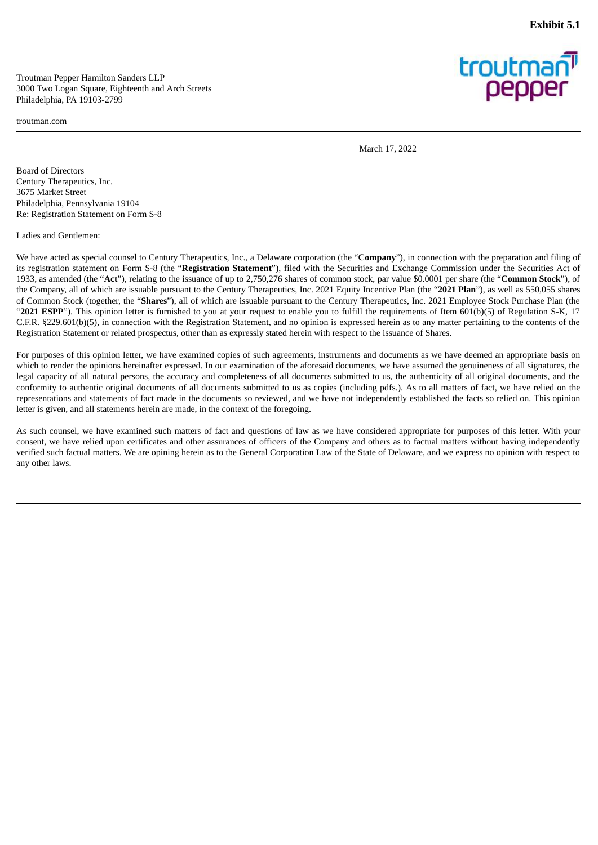**Exhibit 5.1**

<span id="page-4-0"></span>Troutman Pepper Hamilton Sanders LLP 3000 Two Logan Square, Eighteenth and Arch Streets Philadelphia, PA 19103-2799

troutman.com



March 17, 2022

Board of Directors Century Therapeutics, Inc. 3675 Market Street Philadelphia, Pennsylvania 19104 Re: Registration Statement on Form S-8

Ladies and Gentlemen:

We have acted as special counsel to Century Therapeutics, Inc., a Delaware corporation (the "**Company**"), in connection with the preparation and filing of its registration statement on Form S-8 (the "**Registration Statement**"), filed with the Securities and Exchange Commission under the Securities Act of 1933, as amended (the "**Act**"), relating to the issuance of up to 2,750,276 shares of common stock, par value \$0.0001 per share (the "**Common Stock**"), of the Company, all of which are issuable pursuant to the Century Therapeutics, Inc. 2021 Equity Incentive Plan (the "**2021 Plan**"), as well as 550,055 shares of Common Stock (together, the "**Shares**"), all of which are issuable pursuant to the Century Therapeutics, Inc. 2021 Employee Stock Purchase Plan (the "**2021 ESPP**"). This opinion letter is furnished to you at your request to enable you to fulfill the requirements of Item 601(b)(5) of Regulation S-K, 17 C.F.R. §229.601(b)(5), in connection with the Registration Statement, and no opinion is expressed herein as to any matter pertaining to the contents of the Registration Statement or related prospectus, other than as expressly stated herein with respect to the issuance of Shares.

For purposes of this opinion letter, we have examined copies of such agreements, instruments and documents as we have deemed an appropriate basis on which to render the opinions hereinafter expressed. In our examination of the aforesaid documents, we have assumed the genuineness of all signatures, the legal capacity of all natural persons, the accuracy and completeness of all documents submitted to us, the authenticity of all original documents, and the conformity to authentic original documents of all documents submitted to us as copies (including pdfs.). As to all matters of fact, we have relied on the representations and statements of fact made in the documents so reviewed, and we have not independently established the facts so relied on. This opinion letter is given, and all statements herein are made, in the context of the foregoing.

As such counsel, we have examined such matters of fact and questions of law as we have considered appropriate for purposes of this letter. With your consent, we have relied upon certificates and other assurances of officers of the Company and others as to factual matters without having independently verified such factual matters. We are opining herein as to the General Corporation Law of the State of Delaware, and we express no opinion with respect to any other laws.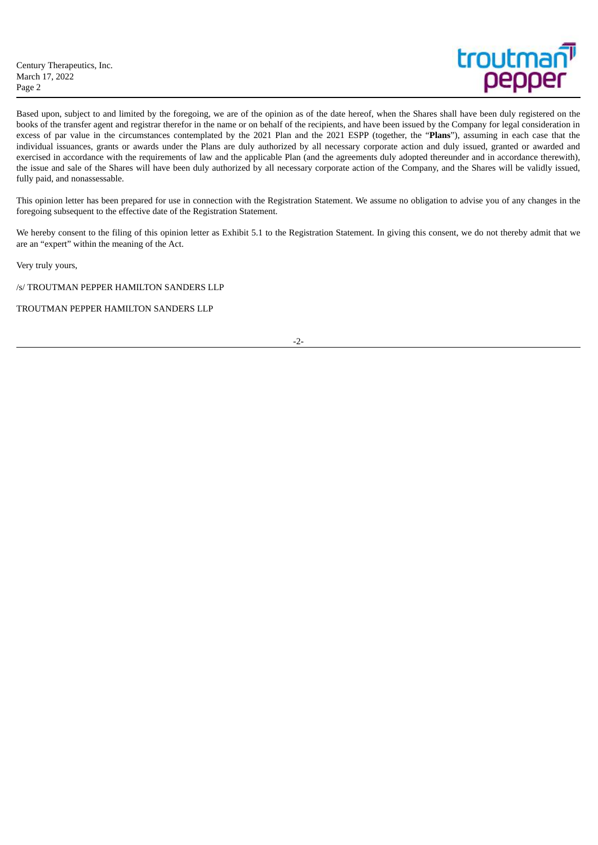Based upon, subject to and limited by the foregoing, we are of the opinion as of the date hereof, when the Shares shall have been duly registered on the books of the transfer agent and registrar therefor in the name or on behalf of the recipients, and have been issued by the Company for legal consideration in excess of par value in the circumstances contemplated by the 2021 Plan and the 2021 ESPP (together, the "**Plans**"), assuming in each case that the individual issuances, grants or awards under the Plans are duly authorized by all necessary corporate action and duly issued, granted or awarded and exercised in accordance with the requirements of law and the applicable Plan (and the agreements duly adopted thereunder and in accordance therewith), the issue and sale of the Shares will have been duly authorized by all necessary corporate action of the Company, and the Shares will be validly issued, fully paid, and nonassessable.

This opinion letter has been prepared for use in connection with the Registration Statement. We assume no obligation to advise you of any changes in the foregoing subsequent to the effective date of the Registration Statement.

We hereby consent to the filing of this opinion letter as Exhibit 5.1 to the Registration Statement. In giving this consent, we do not thereby admit that we are an "expert" within the meaning of the Act.

Very truly yours,

/s/ TROUTMAN PEPPER HAMILTON SANDERS LLP

TROUTMAN PEPPER HAMILTON SANDERS LLP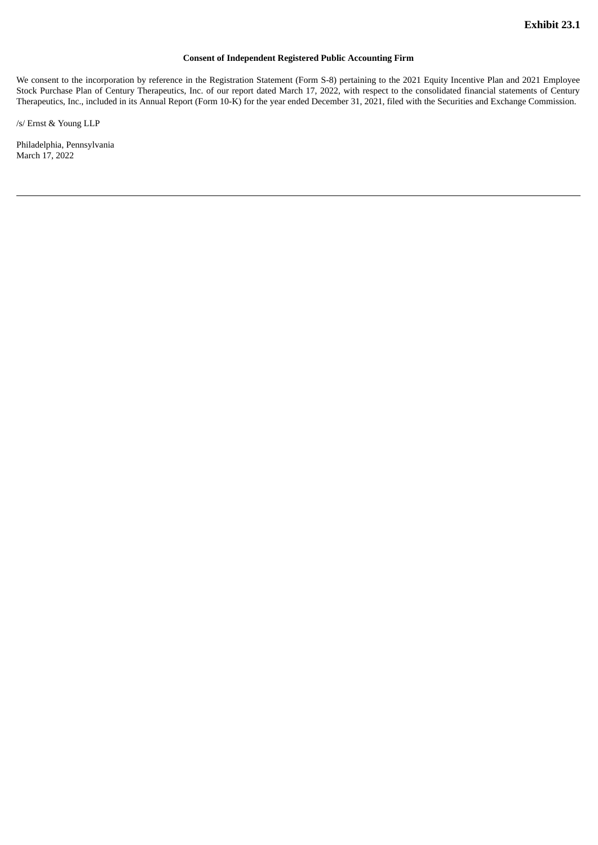# **Consent of Independent Registered Public Accounting Firm**

<span id="page-6-0"></span>We consent to the incorporation by reference in the Registration Statement (Form S-8) pertaining to the 2021 Equity Incentive Plan and 2021 Employee Stock Purchase Plan of Century Therapeutics, Inc. of our report dated March 17, 2022, with respect to the consolidated financial statements of Century Therapeutics, Inc., included in its Annual Report (Form 10-K) for the year ended December 31, 2021, filed with the Securities and Exchange Commission.

/s/ Ernst & Young LLP

Philadelphia, Pennsylvania March 17, 2022